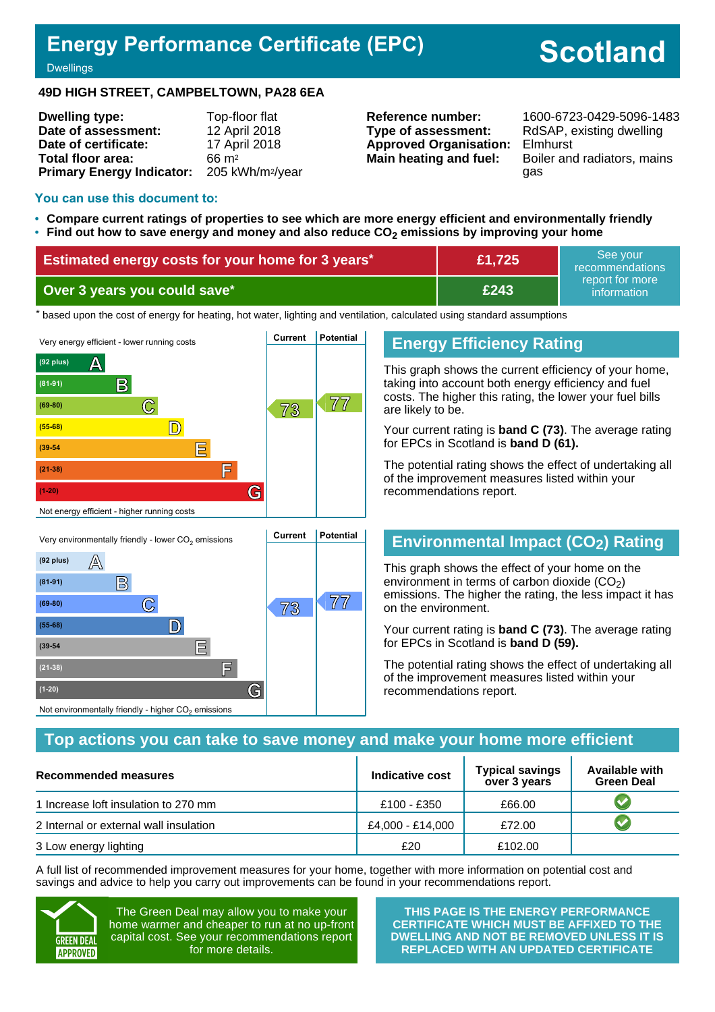## **Energy Performance Certificate (EPC)**

# **Scotland**

**Dwellings** 

#### **49D HIGH STREET, CAMPBELTOWN, PA28 6EA**

| <b>Dwelling type:</b>            | Top-floor flat               |
|----------------------------------|------------------------------|
| Date of assessment:              | 12 April 2018                |
| Date of certificate:             | 17 April 2018                |
| Total floor area:                | $66 \text{ m}^2$             |
| <b>Primary Energy Indicator:</b> | 205 kWh/m <sup>2</sup> /year |

**Type of assessment:** RdSAP, existing dwelling **Approved Organisation:** Elmhurst

**Reference number:** 1600-6723-0429-5096-1483 **Main heating and fuel:** Boiler and radiators, mains gas

#### **You can use this document to:**

- **Compare current ratings of properties to see which are more energy efficient and environmentally friendly**
- **Find out how to save energy and money and also reduce CO2 emissions by improving your home**

| Estimated energy costs for your home for 3 years* | £1,725 | See your<br>recommendations    |
|---------------------------------------------------|--------|--------------------------------|
| Over 3 years you could save*                      | £243   | report for more<br>information |

the based upon the cost of energy for heating, hot water, lighting and ventilation, calculated using standard assumptions



**73 (69-80) C 77**

**(55-68) D**

**(39-54 E**

**(21-38) F**

Not environmentally friendly - higher  $\mathrm{CO}_2$  emissions

**(1-20) G**

## **Energy Efficiency Rating**

This graph shows the current efficiency of your home, taking into account both energy efficiency and fuel costs. The higher this rating, the lower your fuel bills are likely to be.

Your current rating is **band C (73)**. The average rating for EPCs in Scotland is **band D (61).**

The potential rating shows the effect of undertaking all of the improvement measures listed within your recommendations report.

## **Environmental Impact (CO2) Rating**

This graph shows the effect of your home on the environment in terms of carbon dioxide  $(CO<sub>2</sub>)$ emissions. The higher the rating, the less impact it has on the environment.

Your current rating is **band C (73)**. The average rating for EPCs in Scotland is **band D (59).**

The potential rating shows the effect of undertaking all of the improvement measures listed within your recommendations report.

#### **Top actions you can take to save money and make your home more efficient**

| Recommended measures                   | Indicative cost  | <b>Typical savings</b><br>over 3 years | <b>Available with</b><br><b>Green Deal</b> |
|----------------------------------------|------------------|----------------------------------------|--------------------------------------------|
| 1 Increase loft insulation to 270 mm   | £100 - £350      | £66.00                                 |                                            |
| 2 Internal or external wall insulation | £4,000 - £14,000 | £72.00                                 |                                            |
| 3 Low energy lighting                  | £20              | £102.00                                |                                            |

A full list of recommended improvement measures for your home, together with more information on potential cost and savings and advice to help you carry out improvements can be found in your recommendations report.



The Green Deal may allow you to make your home warmer and cheaper to run at no up-front capital cost. See your recommendations report for more details.

**THIS PAGE IS THE ENERGY PERFORMANCE CERTIFICATE WHICH MUST BE AFFIXED TO THE DWELLING AND NOT BE REMOVED UNLESS IT IS REPLACED WITH AN UPDATED CERTIFICATE**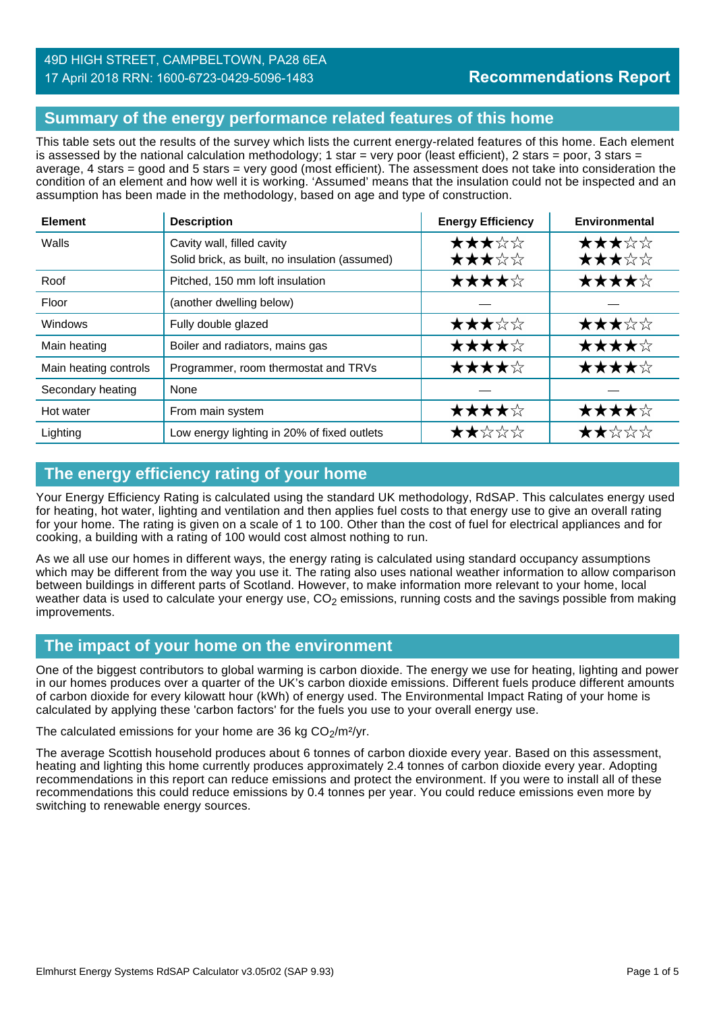#### **Summary of the energy performance related features of this home**

This table sets out the results of the survey which lists the current energy-related features of this home. Each element is assessed by the national calculation methodology; 1 star = very poor (least efficient), 2 stars = poor, 3 stars = average, 4 stars = good and 5 stars = very good (most efficient). The assessment does not take into consideration the condition of an element and how well it is working. 'Assumed' means that the insulation could not be inspected and an assumption has been made in the methodology, based on age and type of construction.

| <b>Element</b>            | <b>Description</b>                                                           | <b>Energy Efficiency</b> | Environmental  |  |
|---------------------------|------------------------------------------------------------------------------|--------------------------|----------------|--|
| Walls                     | Cavity wall, filled cavity<br>Solid brick, as built, no insulation (assumed) | ★★★☆☆<br>★★★☆☆           | ★★★☆☆<br>★★★☆☆ |  |
| Roof                      | Pitched, 150 mm loft insulation                                              | ★★★★☆                    | ★★★★☆          |  |
| Floor                     | (another dwelling below)                                                     |                          |                |  |
| <b>Windows</b>            | Fully double glazed                                                          | ★★★☆☆                    | ★★★☆☆          |  |
| Main heating              | Boiler and radiators, mains gas                                              |                          | ★★★★☆          |  |
| Main heating controls     | Programmer, room thermostat and TRVs                                         | ★★★★☆                    | ★★★★☆          |  |
| Secondary heating<br>None |                                                                              |                          |                |  |
| Hot water                 | From main system                                                             | ★★★★☆                    | ★★★★☆          |  |
| Lighting                  | Low energy lighting in 20% of fixed outlets                                  | ★★☆☆☆                    | ★★☆☆☆          |  |

#### **The energy efficiency rating of your home**

Your Energy Efficiency Rating is calculated using the standard UK methodology, RdSAP. This calculates energy used for heating, hot water, lighting and ventilation and then applies fuel costs to that energy use to give an overall rating for your home. The rating is given on a scale of 1 to 100. Other than the cost of fuel for electrical appliances and for cooking, a building with a rating of 100 would cost almost nothing to run.

As we all use our homes in different ways, the energy rating is calculated using standard occupancy assumptions which may be different from the way you use it. The rating also uses national weather information to allow comparison between buildings in different parts of Scotland. However, to make information more relevant to your home, local weather data is used to calculate your energy use,  $CO<sub>2</sub>$  emissions, running costs and the savings possible from making improvements.

### **The impact of your home on the environment**

One of the biggest contributors to global warming is carbon dioxide. The energy we use for heating, lighting and power in our homes produces over a quarter of the UK's carbon dioxide emissions. Different fuels produce different amounts of carbon dioxide for every kilowatt hour (kWh) of energy used. The Environmental Impact Rating of your home is calculated by applying these 'carbon factors' for the fuels you use to your overall energy use.

The calculated emissions for your home are 36 kg  $CO<sub>2</sub>/m<sup>2</sup>/yr$ .

The average Scottish household produces about 6 tonnes of carbon dioxide every year. Based on this assessment, heating and lighting this home currently produces approximately 2.4 tonnes of carbon dioxide every year. Adopting recommendations in this report can reduce emissions and protect the environment. If you were to install all of these recommendations this could reduce emissions by 0.4 tonnes per year. You could reduce emissions even more by switching to renewable energy sources.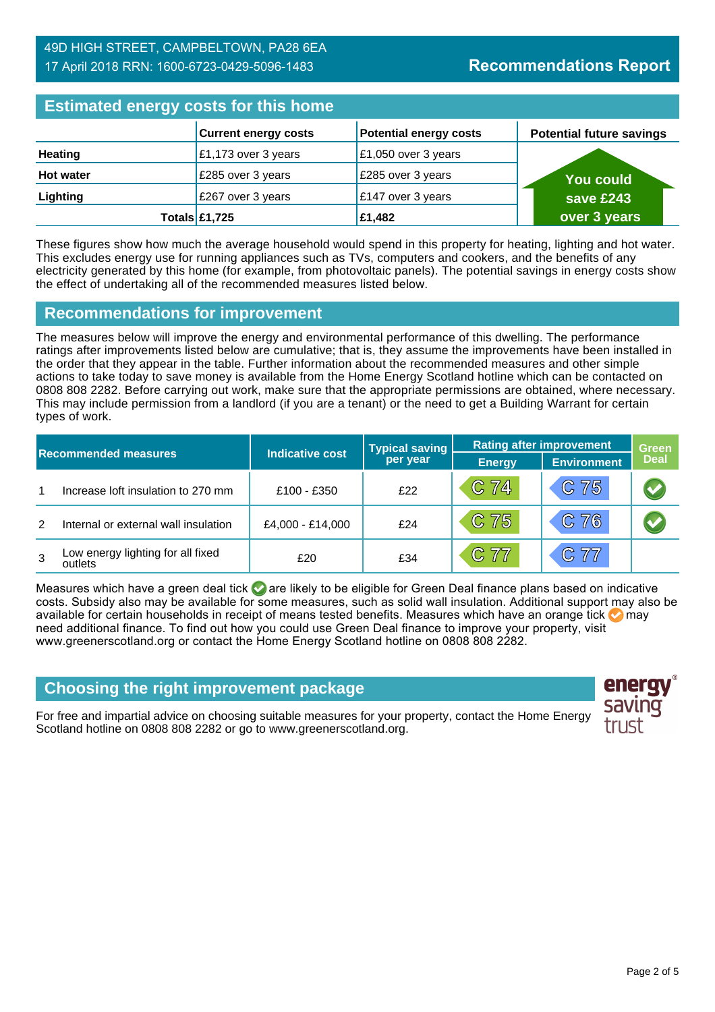## **Estimated energy costs for this home**

| Editional and all and the contract of the second second the second second the second second second second second second second second second second second second second second second second second second second second seco |                             |                               |                                 |  |
|--------------------------------------------------------------------------------------------------------------------------------------------------------------------------------------------------------------------------------|-----------------------------|-------------------------------|---------------------------------|--|
|                                                                                                                                                                                                                                | <b>Current energy costs</b> | <b>Potential energy costs</b> | <b>Potential future savings</b> |  |
| <b>Heating</b>                                                                                                                                                                                                                 | £1,173 over 3 years         | £1,050 over 3 years           |                                 |  |
| <b>Hot water</b>                                                                                                                                                                                                               | £285 over 3 years           | £285 over 3 years             | <b>You could</b>                |  |
| Lighting                                                                                                                                                                                                                       | £267 over 3 years           | £147 over 3 years             | save £243                       |  |
|                                                                                                                                                                                                                                | Totals $£1,725$             | £1,482                        | over 3 years                    |  |

These figures show how much the average household would spend in this property for heating, lighting and hot water. This excludes energy use for running appliances such as TVs, computers and cookers, and the benefits of any electricity generated by this home (for example, from photovoltaic panels). The potential savings in energy costs show the effect of undertaking all of the recommended measures listed below.

#### **Recommendations for improvement**

The measures below will improve the energy and environmental performance of this dwelling. The performance ratings after improvements listed below are cumulative; that is, they assume the improvements have been installed in the order that they appear in the table. Further information about the recommended measures and other simple actions to take today to save money is available from the Home Energy Scotland hotline which can be contacted on 0808 808 2282. Before carrying out work, make sure that the appropriate permissions are obtained, where necessary. This may include permission from a landlord (if you are a tenant) or the need to get a Building Warrant for certain types of work.

| <b>Recommended measures</b> |                                              | <b>Typical saving</b> | <b>Rating after improvement</b> |               | <b>Green</b>       |             |
|-----------------------------|----------------------------------------------|-----------------------|---------------------------------|---------------|--------------------|-------------|
|                             |                                              | Indicative cost       | per year                        | <b>Energy</b> | <b>Environment</b> | <b>Deal</b> |
| 1                           | Increase loft insulation to 270 mm           | £100 - £350           | £22                             | C 74          | C 75               |             |
| 2                           | Internal or external wall insulation         | £4,000 - £14,000      | £24                             | C 75          | C76                |             |
| 3                           | Low energy lighting for all fixed<br>outlets | £20                   | £34                             | C 77          | C 77               |             |

Measures which have a green deal tick  $\bullet$  are likely to be eligible for Green Deal finance plans based on indicative costs. Subsidy also may be available for some measures, such as solid wall insulation. Additional support may also be available for certain households in receipt of means tested benefits. Measures which have an orange tick **on** may need additional finance. To find out how you could use Green Deal finance to improve your property, visit www.greenerscotland.org or contact the Home Energy Scotland hotline on 0808 808 2282.

## **Choosing the right improvement package**

For free and impartial advice on choosing suitable measures for your property, contact the Home Energy Scotland hotline on 0808 808 2282 or go to www.greenerscotland.org.

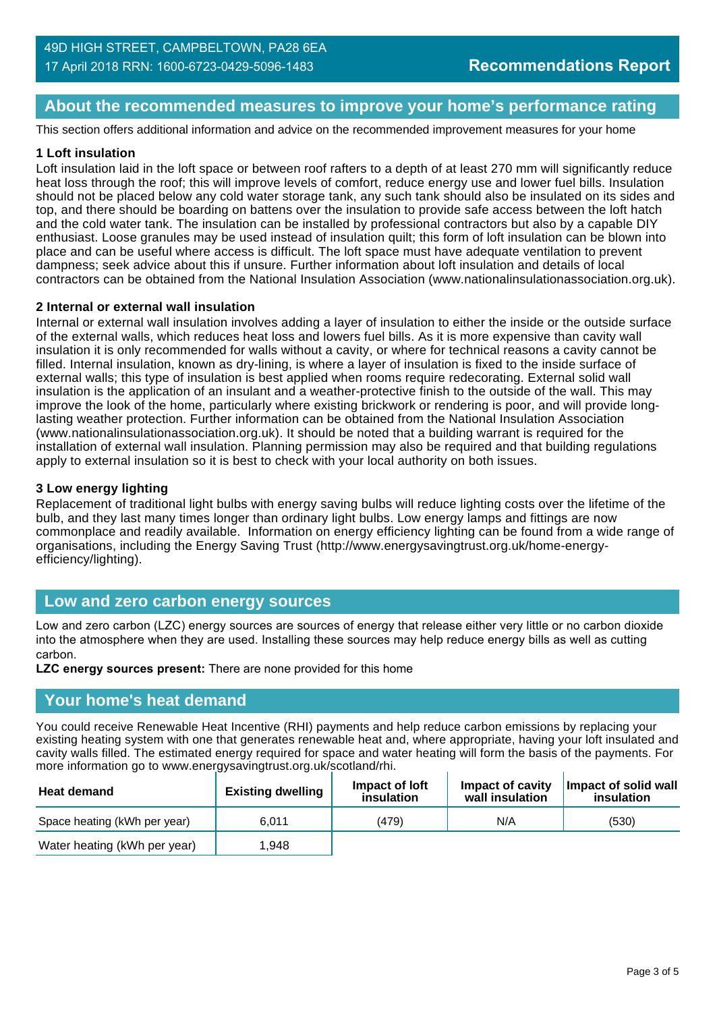#### **About the recommended measures to improve your home's performance rating**

This section offers additional information and advice on the recommended improvement measures for your home

#### **1 Loft insulation**

Loft insulation laid in the loft space or between roof rafters to a depth of at least 270 mm will significantly reduce heat loss through the roof; this will improve levels of comfort, reduce energy use and lower fuel bills. Insulation should not be placed below any cold water storage tank, any such tank should also be insulated on its sides and top, and there should be boarding on battens over the insulation to provide safe access between the loft hatch and the cold water tank. The insulation can be installed by professional contractors but also by a capable DIY enthusiast. Loose granules may be used instead of insulation quilt; this form of loft insulation can be blown into place and can be useful where access is difficult. The loft space must have adequate ventilation to prevent dampness; seek advice about this if unsure. Further information about loft insulation and details of local contractors can be obtained from the National Insulation Association (www.nationalinsulationassociation.org.uk).

#### **2 Internal or external wall insulation**

Internal or external wall insulation involves adding a layer of insulation to either the inside or the outside surface of the external walls, which reduces heat loss and lowers fuel bills. As it is more expensive than cavity wall insulation it is only recommended for walls without a cavity, or where for technical reasons a cavity cannot be filled. Internal insulation, known as dry-lining, is where a layer of insulation is fixed to the inside surface of external walls; this type of insulation is best applied when rooms require redecorating. External solid wall insulation is the application of an insulant and a weather-protective finish to the outside of the wall. This may improve the look of the home, particularly where existing brickwork or rendering is poor, and will provide longlasting weather protection. Further information can be obtained from the National Insulation Association (www.nationalinsulationassociation.org.uk). It should be noted that a building warrant is required for the installation of external wall insulation. Planning permission may also be required and that building regulations apply to external insulation so it is best to check with your local authority on both issues.

#### **3 Low energy lighting**

Replacement of traditional light bulbs with energy saving bulbs will reduce lighting costs over the lifetime of the bulb, and they last many times longer than ordinary light bulbs. Low energy lamps and fittings are now commonplace and readily available. Information on energy efficiency lighting can be found from a wide range of organisations, including the Energy Saving Trust (http://www.energysavingtrust.org.uk/home-energyefficiency/lighting).

#### **Low and zero carbon energy sources**

Low and zero carbon (LZC) energy sources are sources of energy that release either very little or no carbon dioxide into the atmosphere when they are used. Installing these sources may help reduce energy bills as well as cutting carbon.

**LZC energy sources present:** There are none provided for this home

#### **Your home's heat demand**

You could receive Renewable Heat Incentive (RHI) payments and help reduce carbon emissions by replacing your existing heating system with one that generates renewable heat and, where appropriate, having your loft insulated and cavity walls filled. The estimated energy required for space and water heating will form the basis of the payments. For more information go to www.energysavingtrust.org.uk/scotland/rhi.

| Heat demand                  | <b>Existing dwelling</b> | Impact of loft<br>insulation | Impact of cavity<br>wall insulation | Impact of solid wall<br>insulation |
|------------------------------|--------------------------|------------------------------|-------------------------------------|------------------------------------|
| Space heating (kWh per year) | 6.011                    | (479)                        | N/A                                 | (530)                              |
| Water heating (kWh per year) | 1.948                    |                              |                                     |                                    |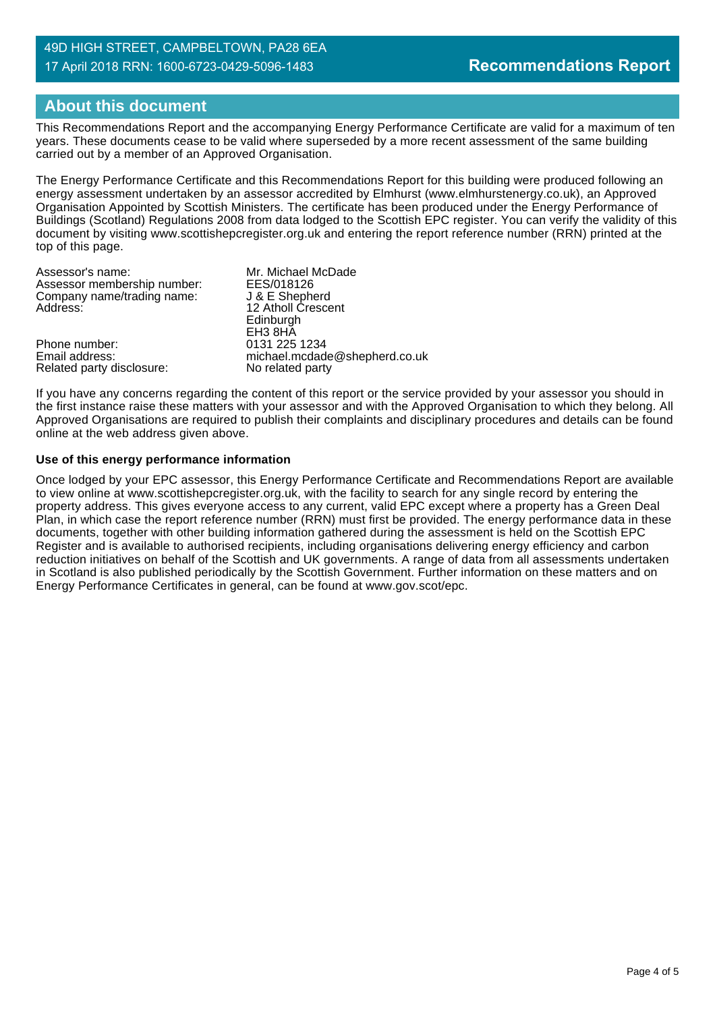## **About this document**

This Recommendations Report and the accompanying Energy Performance Certificate are valid for a maximum of ten years. These documents cease to be valid where superseded by a more recent assessment of the same building carried out by a member of an Approved Organisation.

The Energy Performance Certificate and this Recommendations Report for this building were produced following an energy assessment undertaken by an assessor accredited by Elmhurst (www.elmhurstenergy.co.uk), an Approved Organisation Appointed by Scottish Ministers. The certificate has been produced under the Energy Performance of Buildings (Scotland) Regulations 2008 from data lodged to the Scottish EPC register. You can verify the validity of this document by visiting www.scottishepcregister.org.uk and entering the report reference number (RRN) printed at the top of this page.

| Mr. Michael McDade            |
|-------------------------------|
| EES/018126                    |
| J & E Shepherd                |
| 12 Atholl Crescent            |
| Edinburgh                     |
| EH <sub>3</sub> 8HA           |
| 0131 225 1234                 |
| michael.mcdade@shepherd.co.uk |
| No related party              |
|                               |

If you have any concerns regarding the content of this report or the service provided by your assessor you should in the first instance raise these matters with your assessor and with the Approved Organisation to which they belong. All Approved Organisations are required to publish their complaints and disciplinary procedures and details can be found online at the web address given above.

#### **Use of this energy performance information**

Once lodged by your EPC assessor, this Energy Performance Certificate and Recommendations Report are available to view online at www.scottishepcregister.org.uk, with the facility to search for any single record by entering the property address. This gives everyone access to any current, valid EPC except where a property has a Green Deal Plan, in which case the report reference number (RRN) must first be provided. The energy performance data in these documents, together with other building information gathered during the assessment is held on the Scottish EPC Register and is available to authorised recipients, including organisations delivering energy efficiency and carbon reduction initiatives on behalf of the Scottish and UK governments. A range of data from all assessments undertaken in Scotland is also published periodically by the Scottish Government. Further information on these matters and on Energy Performance Certificates in general, can be found at www.gov.scot/epc.